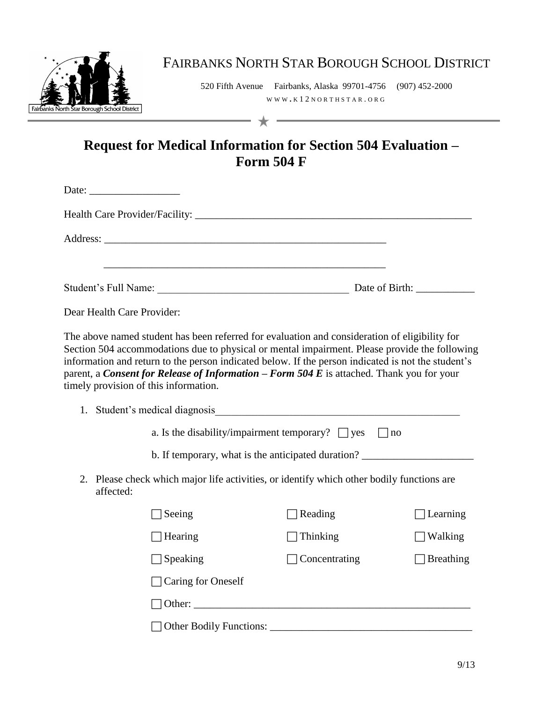

## FAIRBANKS NORTH STAR BOROUGH SCHOOL DISTRICT

520 Fifth Avenue Fairbanks, Alaska 99701-4756 (907) 452-2000 WWW **.** K 1 2 N O R T H S T A R . O R G

## **Request for Medical Information for Section 504 Evaluation – Form 504 F**

|           | Date: $\frac{1}{\sqrt{1-\frac{1}{2}}\sqrt{1-\frac{1}{2}}\sqrt{1-\frac{1}{2}}\sqrt{1-\frac{1}{2}}\sqrt{1-\frac{1}{2}}\sqrt{1-\frac{1}{2}}\sqrt{1-\frac{1}{2}}\sqrt{1-\frac{1}{2}}\sqrt{1-\frac{1}{2}}\sqrt{1-\frac{1}{2}}\sqrt{1-\frac{1}{2}}\sqrt{1-\frac{1}{2}}\sqrt{1-\frac{1}{2}}\sqrt{1-\frac{1}{2}}\sqrt{1-\frac{1}{2}}\sqrt{1-\frac{1}{2}}\sqrt{1-\frac{1}{2}}\sqrt{1-\frac{1}{2}}\sqrt{1-\frac{1}{2}}$ |                                                                                                                                                                                                                                                                                                                                                                                                                                            |                     |
|-----------|---------------------------------------------------------------------------------------------------------------------------------------------------------------------------------------------------------------------------------------------------------------------------------------------------------------------------------------------------------------------------------------------------------------|--------------------------------------------------------------------------------------------------------------------------------------------------------------------------------------------------------------------------------------------------------------------------------------------------------------------------------------------------------------------------------------------------------------------------------------------|---------------------|
|           |                                                                                                                                                                                                                                                                                                                                                                                                               |                                                                                                                                                                                                                                                                                                                                                                                                                                            |                     |
|           |                                                                                                                                                                                                                                                                                                                                                                                                               |                                                                                                                                                                                                                                                                                                                                                                                                                                            |                     |
|           |                                                                                                                                                                                                                                                                                                                                                                                                               |                                                                                                                                                                                                                                                                                                                                                                                                                                            |                     |
|           | Dear Health Care Provider:                                                                                                                                                                                                                                                                                                                                                                                    |                                                                                                                                                                                                                                                                                                                                                                                                                                            |                     |
|           | timely provision of this information.                                                                                                                                                                                                                                                                                                                                                                         | The above named student has been referred for evaluation and consideration of eligibility for<br>Section 504 accommodations due to physical or mental impairment. Please provide the following<br>information and return to the person indicated below. If the person indicated is not the student's<br>parent, a <i>Consent for Release of Information – Form 504 E</i> is attached. Thank you for your<br>1. Student's medical diagnosis |                     |
|           |                                                                                                                                                                                                                                                                                                                                                                                                               | a. Is the disability/impairment temporary? $\Box$ yes                                                                                                                                                                                                                                                                                                                                                                                      | $\Box$ no           |
|           |                                                                                                                                                                                                                                                                                                                                                                                                               | b. If temporary, what is the anticipated duration? _____________________________                                                                                                                                                                                                                                                                                                                                                           |                     |
| affected: |                                                                                                                                                                                                                                                                                                                                                                                                               | 2. Please check which major life activities, or identify which other bodily functions are                                                                                                                                                                                                                                                                                                                                                  |                     |
|           | Seeing                                                                                                                                                                                                                                                                                                                                                                                                        | Reading                                                                                                                                                                                                                                                                                                                                                                                                                                    | Learning            |
|           | $\Box$ Hearing                                                                                                                                                                                                                                                                                                                                                                                                | Thinking                                                                                                                                                                                                                                                                                                                                                                                                                                   | $\Box$ Walking      |
|           | $\Box$ Speaking                                                                                                                                                                                                                                                                                                                                                                                               | $\Box$ Concentrating                                                                                                                                                                                                                                                                                                                                                                                                                       | $\exists$ Breathing |
|           | Caring for Oneself                                                                                                                                                                                                                                                                                                                                                                                            |                                                                                                                                                                                                                                                                                                                                                                                                                                            |                     |
|           |                                                                                                                                                                                                                                                                                                                                                                                                               |                                                                                                                                                                                                                                                                                                                                                                                                                                            |                     |
|           |                                                                                                                                                                                                                                                                                                                                                                                                               |                                                                                                                                                                                                                                                                                                                                                                                                                                            |                     |